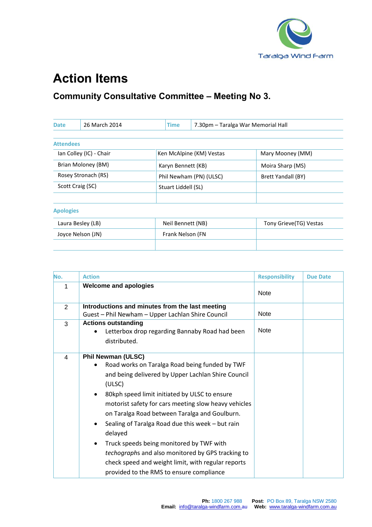

## **Action Items**

## **Community Consultative Committee – Meeting No 3.**

| <b>Date</b>             | 26 March 2014     | <b>Time</b>         | 7.30pm - Taralga War Memorial Hall |                        |
|-------------------------|-------------------|---------------------|------------------------------------|------------------------|
| <b>Attendees</b>        |                   |                     |                                    |                        |
| Ian Colley (IC) - Chair |                   |                     | Ken McAlpine (KM) Vestas           | Mary Mooney (MM)       |
| Brian Moloney (BM)      |                   | Karyn Bennett (KB)  |                                    | Moira Sharp (MS)       |
| Rosey Stronach (RS)     |                   |                     | Phil Newham (PN) (ULSC)            | Brett Yandall (BY)     |
| Scott Craig (SC)        |                   | Stuart Liddell (SL) |                                    |                        |
|                         |                   |                     |                                    |                        |
| <b>Apologies</b>        |                   |                     |                                    |                        |
|                         | Laura Besley (LB) | Neil Bennett (NB)   |                                    | Tony Grieve(TG) Vestas |
|                         | Joyce Nelson (JN) | Frank Nelson (FN    |                                    |                        |
|                         |                   |                     |                                    |                        |

| No.            | <b>Action</b>                                                                                                                                                                                                                                                                                                                                                                                                                                                                                                                                                                                          | <b>Responsibility</b> | <b>Due Date</b> |
|----------------|--------------------------------------------------------------------------------------------------------------------------------------------------------------------------------------------------------------------------------------------------------------------------------------------------------------------------------------------------------------------------------------------------------------------------------------------------------------------------------------------------------------------------------------------------------------------------------------------------------|-----------------------|-----------------|
| 1              | <b>Welcome and apologies</b>                                                                                                                                                                                                                                                                                                                                                                                                                                                                                                                                                                           | <b>Note</b>           |                 |
| $\overline{2}$ | Introductions and minutes from the last meeting<br>Guest - Phil Newham - Upper Lachlan Shire Council                                                                                                                                                                                                                                                                                                                                                                                                                                                                                                   | <b>Note</b>           |                 |
| 3              | <b>Actions outstanding</b><br>Letterbox drop regarding Bannaby Road had been<br>distributed.                                                                                                                                                                                                                                                                                                                                                                                                                                                                                                           | <b>Note</b>           |                 |
| 4              | <b>Phil Newman (ULSC)</b><br>Road works on Taralga Road being funded by TWF<br>and being delivered by Upper Lachlan Shire Council<br>(ULSC)<br>80kph speed limit initiated by ULSC to ensure<br>$\bullet$<br>motorist safety for cars meeting slow heavy vehicles<br>on Taralga Road between Taralga and Goulburn.<br>Sealing of Taralga Road due this week - but rain<br>٠<br>delayed<br>Truck speeds being monitored by TWF with<br>$\bullet$<br>techographs and also monitored by GPS tracking to<br>check speed and weight limit, with regular reports<br>provided to the RMS to ensure compliance |                       |                 |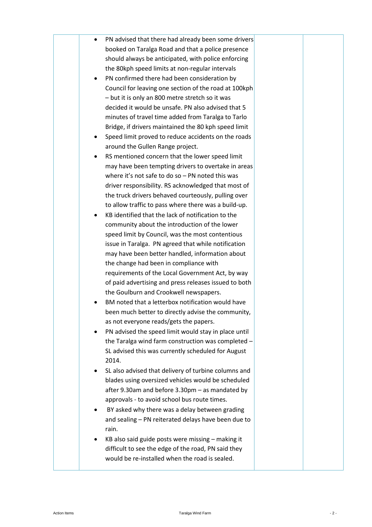|  | PN advised that there had already been some drivers   |  |
|--|-------------------------------------------------------|--|
|  | booked on Taralga Road and that a police presence     |  |
|  | should always be anticipated, with police enforcing   |  |
|  | the 80kph speed limits at non-regular intervals       |  |
|  | PN confirmed there had been consideration by          |  |
|  | Council for leaving one section of the road at 100kph |  |
|  | - but it is only an 800 metre stretch so it was       |  |
|  | decided it would be unsafe. PN also advised that 5    |  |
|  | minutes of travel time added from Taralga to Tarlo    |  |
|  | Bridge, if drivers maintained the 80 kph speed limit  |  |
|  | Speed limit proved to reduce accidents on the roads   |  |
|  | around the Gullen Range project.                      |  |
|  | RS mentioned concern that the lower speed limit       |  |
|  | may have been tempting drivers to overtake in areas   |  |
|  | where it's not safe to do so $-$ PN noted this was    |  |
|  | driver responsibility. RS acknowledged that most of   |  |
|  | the truck drivers behaved courteously, pulling over   |  |
|  | to allow traffic to pass where there was a build-up.  |  |
|  | KB identified that the lack of notification to the    |  |
|  | community about the introduction of the lower         |  |
|  | speed limit by Council, was the most contentious      |  |
|  | issue in Taralga. PN agreed that while notification   |  |
|  | may have been better handled, information about       |  |
|  | the change had been in compliance with                |  |
|  | requirements of the Local Government Act, by way      |  |
|  | of paid advertising and press releases issued to both |  |
|  | the Goulburn and Crookwell newspapers.                |  |
|  | BM noted that a letterbox notification would have     |  |
|  | been much better to directly advise the community,    |  |
|  | as not everyone reads/gets the papers.                |  |
|  | PN advised the speed limit would stay in place until  |  |
|  | the Taralga wind farm construction was completed -    |  |
|  | SL advised this was currently scheduled for August    |  |
|  | 2014.                                                 |  |
|  | SL also advised that delivery of turbine columns and  |  |
|  | blades using oversized vehicles would be scheduled    |  |
|  | after 9.30am and before 3.30pm - as mandated by       |  |
|  | approvals - to avoid school bus route times.          |  |
|  | BY asked why there was a delay between grading        |  |
|  | and sealing - PN reiterated delays have been due to   |  |
|  | rain.                                                 |  |
|  | KB also said guide posts were missing - making it     |  |
|  | difficult to see the edge of the road, PN said they   |  |
|  | would be re-installed when the road is sealed.        |  |
|  |                                                       |  |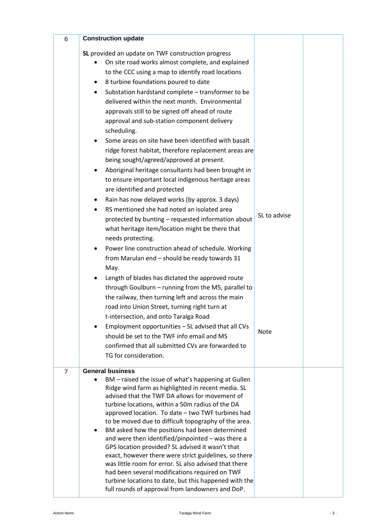| 6              | <b>Construction update</b>                                                                                                                                                                                                                                                                                                                                                                                                                                                                                                                                                                                                                                                                                                                                                                                                                                                                                                                                                                                                                                                                                                                                                                                        |              |  |
|----------------|-------------------------------------------------------------------------------------------------------------------------------------------------------------------------------------------------------------------------------------------------------------------------------------------------------------------------------------------------------------------------------------------------------------------------------------------------------------------------------------------------------------------------------------------------------------------------------------------------------------------------------------------------------------------------------------------------------------------------------------------------------------------------------------------------------------------------------------------------------------------------------------------------------------------------------------------------------------------------------------------------------------------------------------------------------------------------------------------------------------------------------------------------------------------------------------------------------------------|--------------|--|
|                | SL provided an update on TWF construction progress<br>On site road works almost complete, and explained<br>to the CCC using a map to identify road locations<br>8 turbine foundations poured to date<br>Substation hardstand complete - transformer to be<br>٠<br>delivered within the next month. Environmental<br>approvals still to be signed off ahead of route<br>approval and sub-station component delivery<br>scheduling.<br>Some areas on site have been identified with basalt<br>$\bullet$<br>ridge forest habitat, therefore replacement areas are<br>being sought/agreed/approved at present.<br>Aboriginal heritage consultants had been brought in<br>to ensure important local indigenous heritage areas<br>are identified and protected<br>Rain has now delayed works (by approx. 3 days)<br>RS mentioned she had noted an isolated area<br>protected by bunting - requested information about<br>what heritage item/location might be there that<br>needs protecting.<br>Power line construction ahead of schedule. Working<br>from Marulan end - should be ready towards 31<br>May.<br>Length of blades has dictated the approved route<br>through Goulburn - running from the M5, parallel to | SL to advise |  |
|                | road into Union Street, turning right turn at<br>t-intersection, and onto Taralga Road<br>Employment opportunities - SL advised that all CVs<br>should be set to the TWF info email and MS<br>confirmed that all submitted CVs are forwarded to<br>TG for consideration.                                                                                                                                                                                                                                                                                                                                                                                                                                                                                                                                                                                                                                                                                                                                                                                                                                                                                                                                          | <b>Note</b>  |  |
| $\overline{7}$ | <b>General business</b><br>BM – raised the issue of what's happening at Gullen<br>Ridge wind farm as highlighted in recent media. SL<br>advised that the TWF DA allows for movement of<br>turbine locations, within a 50m radius of the DA<br>approved location. To date - two TWF turbines had<br>to be moved due to difficult topography of the area.<br>BM asked how the positions had been determined<br>and were then identified/pinpointed - was there a<br>GPS location provided? SL advised it wasn't that<br>exact, however there were strict guidelines, so there<br>was little room for error. SL also advised that there<br>had been several modifications required on TWF<br>turbine locations to date, but this happened with the<br>full rounds of approval from landowners and DoP.                                                                                                                                                                                                                                                                                                                                                                                                               |              |  |